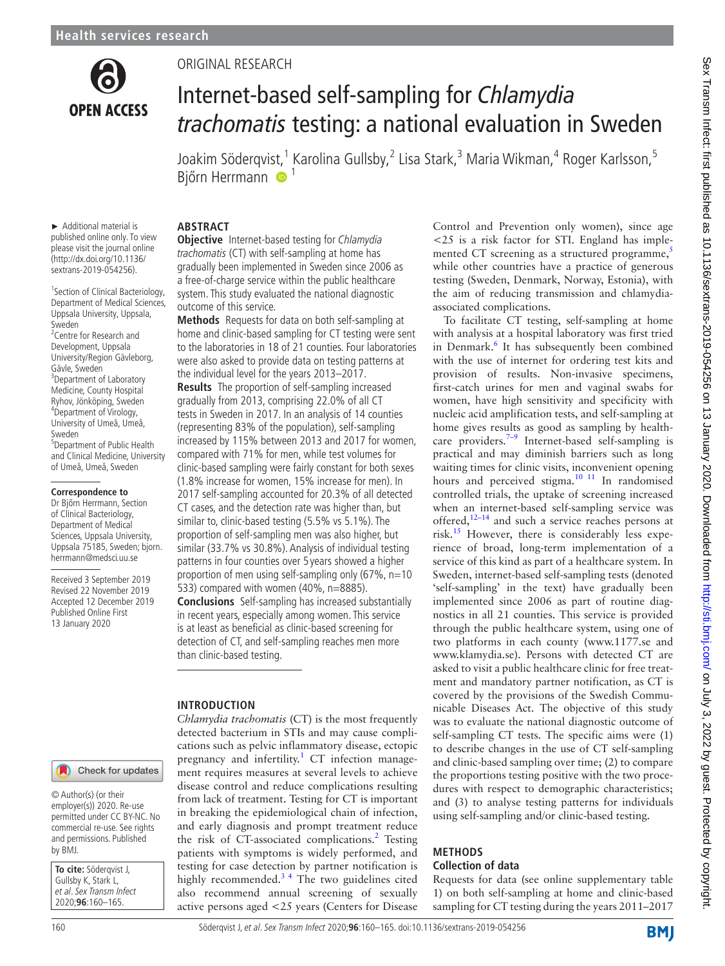

## Original research

# Internet-based self-sampling for *Chlamydia trachomatis* testing: a national evaluation in Sweden

Joakim Söderqvis[t,](http://orcid.org/0000-0001-8729-2306) <sup>1</sup> Karolina Gullsby, <sup>2</sup> Lisa Stark, <sup>3</sup> Maria Wikman, <sup>4</sup> Roger Karlsson, <sup>5</sup> Bjőrn Herrmann <sup>1</sup>

► Additional material is published online only. To view please visit the journal online (http://dx.doi.org/10.1136/ sextrans-2019-054256).

1 Section of Clinical Bacteriology, Department of Medical Sciences, Uppsala University, Uppsala, Sweden

<sup>2</sup> Centre for Research and Development, Uppsala University/Region Gävleborg, Gävle, Sweden<br><sup>3</sup>Department of Laboratory Medicine, County Hospital Ryhov, Jönköping, Sweden <sup>4</sup> <sup>4</sup>Department of Virology, University of Umeå, Umeå, Sweden

5 Department of Public Health and Clinical Medicine, University of Umeå, Umeå, Sweden

#### **Correspondence to**

Dr Bjőrn Herrmann, Section of Clinical Bacteriology, Department of Medical Sciences, Uppsala University, Uppsala 75185, Sweden; bjorn. herrmann@medsci.uu.se

Received 3 September 2019 Revised 22 November 2019 Accepted 12 December 2019 Published Online First 13 January 2020

## **ABSTRACT**

**Objective** Internet-based testing for Chlamydia trachomatis (CT) with self-sampling at home has gradually been implemented in Sweden since 2006 as a free-of-charge service within the public healthcare system. This study evaluated the national diagnostic outcome of this service.

**Methods** Requests for data on both self-sampling at home and clinic-based sampling for CT testing were sent to the laboratories in 18 of 21 counties. Four laboratories were also asked to provide data on testing patterns at the individual level for the years 2013–2017. **Results** The proportion of self-sampling increased gradually from 2013, comprising 22.0% of all CT tests in Sweden in 2017. In an analysis of 14 counties (representing 83% of the population), self-sampling increased by 115% between 2013 and 2017 for women, compared with 71% for men, while test volumes for clinic-based sampling were fairly constant for both sexes

(1.8% increase for women, 15% increase for men). In 2017 self-sampling accounted for 20.3% of all detected CT cases, and the detection rate was higher than, but similar to, clinic-based testing (5.5% vs 5.1%). The proportion of self-sampling men was also higher, but similar (33.7% vs 30.8%). Analysis of individual testing patterns in four counties over 5 years showed a higher proportion of men using self-sampling only  $(67\% , n=10$ 533) compared with women (40%, n=8885). **Conclusions** Self-sampling has increased substantially in recent years, especially among women. This service is at least as beneficial as clinic-based screening for detection of CT, and self-sampling reaches men more than clinic-based testing.

## **Introduction**

*Chlamydia trachomatis* (CT) is the most frequently detected bacterium in STIs and may cause complications such as pelvic inflammatory disease, ectopic pregnancy and infertility.<sup>[1](#page-4-0)</sup> CT infection management requires measures at several levels to achieve disease control and reduce complications resulting from lack of treatment. Testing for CT is important in breaking the epidemiological chain of infection, and early diagnosis and prompt treatment reduce the risk of CT-associated complications.<sup>[2](#page-4-1)</sup> Testing patients with symptoms is widely performed, and testing for case detection by partner notification is highly recommended. $3<sup>4</sup>$  The two guidelines cited also recommend annual screening of sexually active persons aged <25 years (Centers for Disease

Control and Prevention only women), since age <25 is a risk factor for STI. England has implemented CT screening as a structured programme, $5$ while other countries have a practice of generous testing (Sweden, Denmark, Norway, Estonia), with the aim of reducing transmission and chlamydiaassociated complications.

To facilitate CT testing, self-sampling at home with analysis at a hospital laboratory was first tried in Denmark.<sup>[6](#page-4-4)</sup> It has subsequently been combined with the use of internet for ordering test kits and provision of results. Non-invasive specimens, first-catch urines for men and vaginal swabs for women, have high sensitivity and specificity with nucleic acid amplification tests, and self-sampling at home gives results as good as sampling by healthcare providers.<sup>7–9</sup> Internet-based self-sampling is practical and may diminish barriers such as long waiting times for clinic visits, inconvenient opening hours and perceived stigma.<sup>[10 11](#page-4-6)</sup> In randomised controlled trials, the uptake of screening increased when an internet-based self-sampling service was offered[,12–14](#page-4-7) and such a service reaches persons at risk[.15](#page-4-8) However, there is considerably less experience of broad, long-term implementation of a service of this kind as part of a healthcare system. In Sweden, internet-based self-sampling tests (denoted 'self-sampling' in the text) have gradually been implemented since 2006 as part of routine diagnostics in all 21 counties. This service is provided through the public healthcare system, using one of two platforms in each county (www.1177.se and [www.klamydia.se\)](www.klamydia.se). Persons with detected CT are asked to visit a public healthcare clinic for free treatment and mandatory partner notification, as CT is covered by the provisions of the Swedish Communicable Diseases Act. The objective of this study was to evaluate the national diagnostic outcome of self-sampling CT tests. The specific aims were (1) to describe changes in the use of CT self-sampling and clinic-based sampling over time; (2) to compare the proportions testing positive with the two procedures with respect to demographic characteristics; and (3) to analyse testing patterns for individuals using self-sampling and/or clinic-based testing.

## **Methods**

## **Collection of data**

Requests for data (see [online supplementary table](https://dx.doi.org/10.1136/sextrans-2019-054256) [1\)](https://dx.doi.org/10.1136/sextrans-2019-054256) on both self-sampling at home and clinic-based sampling for CT testing during the years 2011–2017

**To cite:** Söderqvist J, Gullsby K, Stark L, et al. Sex Transm Infect 2020;**96**:160–165.

© Author(s) (or their employer(s)) 2020. Re-use permitted under CC BY-NC. No commercial re-use. See rights and permissions. Published

Check for updates



by BMJ.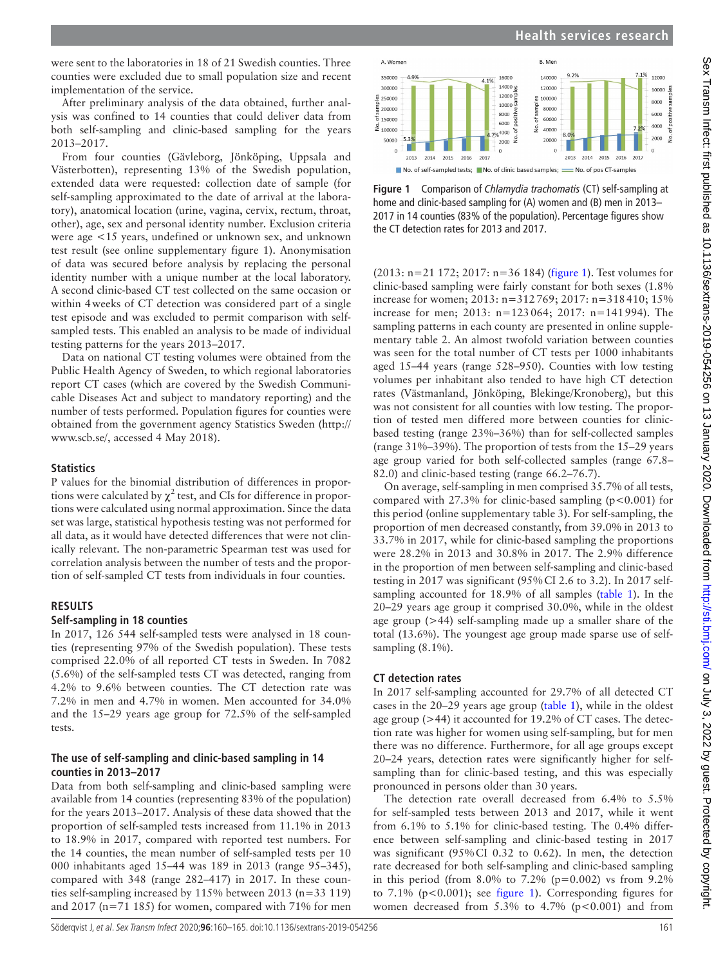were sent to the laboratories in 18 of 21 Swedish counties. Three counties were excluded due to small population size and recent implementation of the service.

After preliminary analysis of the data obtained, further analysis was confined to 14 counties that could deliver data from both self-sampling and clinic-based sampling for the years 2013–2017.

From four counties (Gävleborg, Jönköping, Uppsala and Västerbotten), representing 13% of the Swedish population, extended data were requested: collection date of sample (for self-sampling approximated to the date of arrival at the laboratory), anatomical location (urine, vagina, cervix, rectum, throat, other), age, sex and personal identity number. Exclusion criteria were age <15 years, undefined or unknown sex, and unknown test result (see [online supplementary figure 1](https://dx.doi.org/10.1136/sextrans-2019-054256)). Anonymisation of data was secured before analysis by replacing the personal identity number with a unique number at the local laboratory. A second clinic-based CT test collected on the same occasion or within 4weeks of CT detection was considered part of a single test episode and was excluded to permit comparison with selfsampled tests. This enabled an analysis to be made of individual testing patterns for the years 2013–2017.

Data on national CT testing volumes were obtained from the Public Health Agency of Sweden, to which regional laboratories report CT cases (which are covered by the Swedish Communicable Diseases Act and subject to mandatory reporting) and the number of tests performed. Population figures for counties were obtained from the government agency Statistics Sweden ([http://](http://www.scb.se/) [www.scb.se/](http://www.scb.se/), accessed 4 May 2018).

#### **Statistics**

P values for the binomial distribution of differences in proportions were calculated by  $\chi^2$  test, and CIs for difference in proportions were calculated using normal approximation. Since the data set was large, statistical hypothesis testing was not performed for all data, as it would have detected differences that were not clinically relevant. The non-parametric Spearman test was used for correlation analysis between the number of tests and the proportion of self-sampled CT tests from individuals in four counties.

#### **Results**

#### **Self-sampling in 18 counties**

In 2017, 126 544 self-sampled tests were analysed in 18 counties (representing 97% of the Swedish population). These tests comprised 22.0% of all reported CT tests in Sweden. In 7082 (5.6%) of the self-sampled tests CT was detected, ranging from 4.2% to 9.6% between counties. The CT detection rate was 7.2% in men and 4.7% in women. Men accounted for 34.0% and the 15–29 years age group for 72.5% of the self-sampled tests.

#### **The use of self-sampling and clinic-based sampling in 14 counties in 2013–2017**

Data from both self-sampling and clinic-based sampling were available from 14 counties (representing 83% of the population) for the years 2013–2017. Analysis of these data showed that the proportion of self-sampled tests increased from 11.1% in 2013 to 18.9% in 2017, compared with reported test numbers. For the 14 counties, the mean number of self-sampled tests per 10 000 inhabitants aged 15–44 was 189 in 2013 (range 95–345), compared with 348 (range 282–417) in 2017. In these counties self-sampling increased by 115% between 2013 (n=33 119) and 2017 (n=71 185) for women, compared with 71% for men



**Health services research**

<span id="page-1-0"></span>**Figure 1** Comparison of *Chlamydia trachomatis* (CT) self-sampling at home and clinic-based sampling for (A) women and (B) men in 2013– 2017 in 14 counties (83% of the population). Percentage figures show the CT detection rates for 2013 and 2017.

(2013: n=21 172; 2017: n=36 184) ([figure](#page-1-0) 1). Test volumes for clinic-based sampling were fairly constant for both sexes (1.8% increase for women; 2013: n=312769; 2017: n=318410; 15% increase for men; 2013: n=123064; 2017: n=141994). The sampling patterns in each county are presented in [online supple](https://dx.doi.org/10.1136/sextrans-2019-054256)[mentary table 2.](https://dx.doi.org/10.1136/sextrans-2019-054256) An almost twofold variation between counties was seen for the total number of CT tests per 1000 inhabitants aged 15–44 years (range 528–950). Counties with low testing volumes per inhabitant also tended to have high CT detection rates (Västmanland, Jönköping, Blekinge/Kronoberg), but this was not consistent for all counties with low testing. The proportion of tested men differed more between counties for clinicbased testing (range 23%–36%) than for self-collected samples (range 31%–39%). The proportion of tests from the 15–29 years age group varied for both self-collected samples (range 67.8– 82.0) and clinic-based testing (range 66.2–76.7).

On average, self-sampling in men comprised 35.7% of all tests, compared with 27.3% for clinic-based sampling (p<0.001) for this period ([online supplementary table 3](https://dx.doi.org/10.1136/sextrans-2019-054256)). For self-sampling, the proportion of men decreased constantly, from 39.0% in 2013 to 33.7% in 2017, while for clinic-based sampling the proportions were 28.2% in 2013 and 30.8% in 2017. The 2.9% difference in the proportion of men between self-sampling and clinic-based testing in 2017 was significant (95%CI 2.6 to 3.2). In 2017 selfsampling accounted for 18.9% of all samples [\(table](#page-2-0) 1). In the 20–29 years age group it comprised 30.0%, while in the oldest age group (>44) self-sampling made up a smaller share of the total (13.6%). The youngest age group made sparse use of selfsampling  $(8.1\%)$ .

#### **CT detection rates**

In 2017 self-sampling accounted for 29.7% of all detected CT cases in the 20–29 years age group [\(table](#page-2-0) 1), while in the oldest age group (>44) it accounted for 19.2% of CT cases. The detection rate was higher for women using self-sampling, but for men there was no difference. Furthermore, for all age groups except 20–24 years, detection rates were significantly higher for selfsampling than for clinic-based testing, and this was especially pronounced in persons older than 30 years.

The detection rate overall decreased from 6.4% to 5.5% for self-sampled tests between 2013 and 2017, while it went from 6.1% to 5.1% for clinic-based testing. The 0.4% difference between self-sampling and clinic-based testing in 2017 was significant (95%CI 0.32 to 0.62). In men, the detection rate decreased for both self-sampling and clinic-based sampling in this period (from 8.0% to  $7.2\%$  (p=0.002) vs from 9.2% to  $7.1\%$  (p<0.001); see [figure](#page-1-0) 1). Corresponding figures for women decreased from  $5.3\%$  to  $4.7\%$  ( $p < 0.001$ ) and from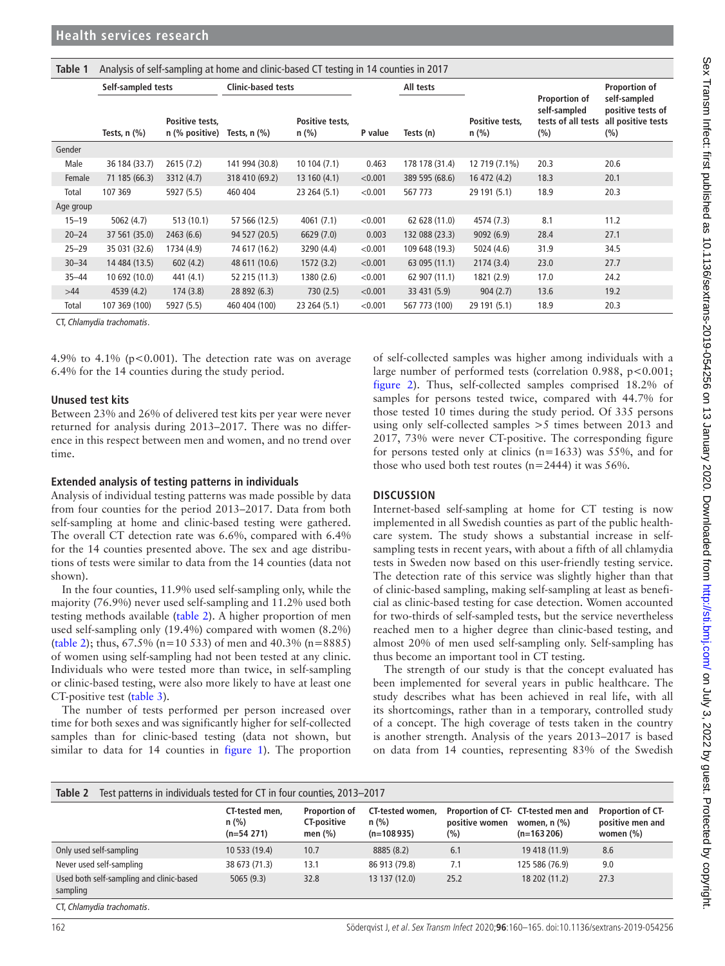<span id="page-2-0"></span>

| Table 1   | Analysis of self-sampling at home and clinic-based CT testing in 14 counties in 2017 |                                     |                               |                            |         |                |                          |                                                            |                                                                |
|-----------|--------------------------------------------------------------------------------------|-------------------------------------|-------------------------------|----------------------------|---------|----------------|--------------------------|------------------------------------------------------------|----------------------------------------------------------------|
|           | Self-sampled tests                                                                   |                                     | <b>Clinic-based tests</b>     |                            |         | All tests      |                          |                                                            | Proportion of                                                  |
|           | Tests, $n$ $(\%)$                                                                    | Positive tests,<br>$n$ (% positive) | Tests, $n$ $\left(\% \right)$ | Positive tests.<br>$n$ (%) | P value | Tests (n)      | Positive tests.<br>n (%) | Proportion of<br>self-sampled<br>tests of all tests<br>(%) | self-sampled<br>positive tests of<br>all positive tests<br>(%) |
| Gender    |                                                                                      |                                     |                               |                            |         |                |                          |                                                            |                                                                |
| Male      | 36 184 (33.7)                                                                        | 2615(7.2)                           | 141 994 (30.8)                | 10104(7.1)                 | 0.463   | 178 178 (31.4) | 12 719 (7.1%)            | 20.3                                                       | 20.6                                                           |
| Female    | 71 185 (66.3)                                                                        | 3312 (4.7)                          | 318 410 (69.2)                | 13 160 (4.1)               | < 0.001 | 389 595 (68.6) | 16 472 (4.2)             | 18.3                                                       | 20.1                                                           |
| Total     | 107 369                                                                              | 5927 (5.5)                          | 460 404                       | 23 264 (5.1)               | < 0.001 | 567 773        | 29 191 (5.1)             | 18.9                                                       | 20.3                                                           |
| Age group |                                                                                      |                                     |                               |                            |         |                |                          |                                                            |                                                                |
| $15 - 19$ | 5062(4.7)                                                                            | 513 (10.1)                          | 57 566 (12.5)                 | 4061 (7.1)                 | < 0.001 | 62 628 (11.0)  | 4574 (7.3)               | 8.1                                                        | 11.2                                                           |
| $20 - 24$ | 37 561 (35.0)                                                                        | 2463(6.6)                           | 94 527 (20.5)                 | 6629 (7.0)                 | 0.003   | 132 088 (23.3) | 9092(6.9)                | 28.4                                                       | 27.1                                                           |
| $25 - 29$ | 35 031 (32.6)                                                                        | 1734 (4.9)                          | 74 617 (16.2)                 | 3290 (4.4)                 | < 0.001 | 109 648 (19.3) | 5024 (4.6)               | 31.9                                                       | 34.5                                                           |
| $30 - 34$ | 14 484 (13.5)                                                                        | 602(4.2)                            | 48 611 (10.6)                 | 1572 (3.2)                 | < 0.001 | 63 095 (11.1)  | 2174(3.4)                | 23.0                                                       | 27.7                                                           |
| $35 - 44$ | 10 692 (10.0)                                                                        | 441 (4.1)                           | 52 215 (11.3)                 | 1380 (2.6)                 | < 0.001 | 62 907 (11.1)  | 1821 (2.9)               | 17.0                                                       | 24.2                                                           |
| $>44$     | 4539 (4.2)                                                                           | 174(3.8)                            | 28 892 (6.3)                  | 730(2.5)                   | < 0.001 | 33 431 (5.9)   | 904(2.7)                 | 13.6                                                       | 19.2                                                           |
| Total     | 107 369 (100)                                                                        | 5927 (5.5)                          | 460 404 (100)                 | 23 264 (5.1)               | < 0.001 | 567 773 (100)  | 29 191 (5.1)             | 18.9                                                       | 20.3                                                           |

CT, *Chlamydia trachomatis*.

4.9% to 4.1% ( $p < 0.001$ ). The detection rate was on average 6.4% for the 14 counties during the study period.

## **Unused test kits**

Between 23% and 26% of delivered test kits per year were never returned for analysis during 2013–2017. There was no difference in this respect between men and women, and no trend over time.

## **Extended analysis of testing patterns in individuals**

Analysis of individual testing patterns was made possible by data from four counties for the period 2013–2017. Data from both self-sampling at home and clinic-based testing were gathered. The overall CT detection rate was 6.6%, compared with 6.4% for the 14 counties presented above. The sex and age distributions of tests were similar to data from the 14 counties (data not shown).

In the four counties, 11.9% used self-sampling only, while the majority (76.9%) never used self-sampling and 11.2% used both testing methods available [\(table](#page-2-1) 2). A higher proportion of men used self-sampling only (19.4%) compared with women (8.2%) ([table](#page-2-1) 2); thus, 67.5% (n=10 533) of men and 40.3% (n=8885) of women using self-sampling had not been tested at any clinic. Individuals who were tested more than twice, in self-sampling or clinic-based testing, were also more likely to have at least one CT-positive test ([table](#page-3-0) 3).

The number of tests performed per person increased over time for both sexes and was significantly higher for self-collected samples than for clinic-based testing (data not shown, but similar to data for 14 counties in [figure](#page-1-0) 1). The proportion

of self-collected samples was higher among individuals with a large number of performed tests (correlation 0.988,  $p < 0.001$ ; [figure](#page-3-1) 2). Thus, self-collected samples comprised 18.2% of samples for persons tested twice, compared with 44.7% for those tested 10 times during the study period. Of 335 persons using only self-collected samples >5 times between 2013 and 2017, 73% were never CT-positive. The corresponding figure for persons tested only at clinics  $(n=1633)$  was 55%, and for those who used both test routes ( $n=2444$ ) it was 56%.

## **Discussion**

Internet-based self-sampling at home for CT testing is now implemented in all Swedish counties as part of the public healthcare system. The study shows a substantial increase in selfsampling tests in recent years, with about a fifth of all chlamydia tests in Sweden now based on this user-friendly testing service. The detection rate of this service was slightly higher than that of clinic-based sampling, making self-sampling at least as beneficial as clinic-based testing for case detection. Women accounted for two-thirds of self-sampled tests, but the service nevertheless reached men to a higher degree than clinic-based testing, and almost 20% of men used self-sampling only. Self-sampling has thus become an important tool in CT testing.

The strength of our study is that the concept evaluated has been implemented for several years in public healthcare. The study describes what has been achieved in real life, with all its shortcomings, rather than in a temporary, controlled study of a concept. The high coverage of tests taken in the country is another strength. Analysis of the years 2013–2017 is based on data from 14 counties, representing 83% of the Swedish

<span id="page-2-1"></span>

| Table 2<br>Test patterns in individuals tested for CT in four counties, 2013–2017 |                                       |                                                          |                                             |                       |                                                                                              |                                                       |  |  |  |
|-----------------------------------------------------------------------------------|---------------------------------------|----------------------------------------------------------|---------------------------------------------|-----------------------|----------------------------------------------------------------------------------------------|-------------------------------------------------------|--|--|--|
|                                                                                   | CT-tested men,<br>n(%)<br>$(n=54271)$ | <b>Proportion of</b><br><b>CT-positive</b><br>men $(\%)$ | CT-tested women.<br>$n$ (%)<br>$(n=108935)$ | positive women<br>(%) | Proportion of CT- CT-tested men and<br>women, $n$ $\left(\frac{9}{6}\right)$<br>$(n=163206)$ | Proportion of CT-<br>positive men and<br>women $(\%)$ |  |  |  |
| Only used self-sampling                                                           | 10 533 (19.4)                         | 10.7                                                     | 8885 (8.2)                                  | 6.1                   | 19 418 (11.9)                                                                                | 8.6                                                   |  |  |  |
| Never used self-sampling                                                          | 38 673 (71.3)                         | 13.1                                                     | 86 913 (79.8)                               | 7.1                   | 125 586 (76.9)                                                                               | 9.0                                                   |  |  |  |
| Used both self-sampling and clinic-based<br>sampling                              | 5065(9.3)                             | 32.8                                                     | 13 137 (12.0)                               | 25.2                  | 18 202 (11.2)                                                                                | 27.3                                                  |  |  |  |
| CT Chlamydia trachomatic                                                          |                                       |                                                          |                                             |                       |                                                                                              |                                                       |  |  |  |

CT, *Chlamydia trachomatis*.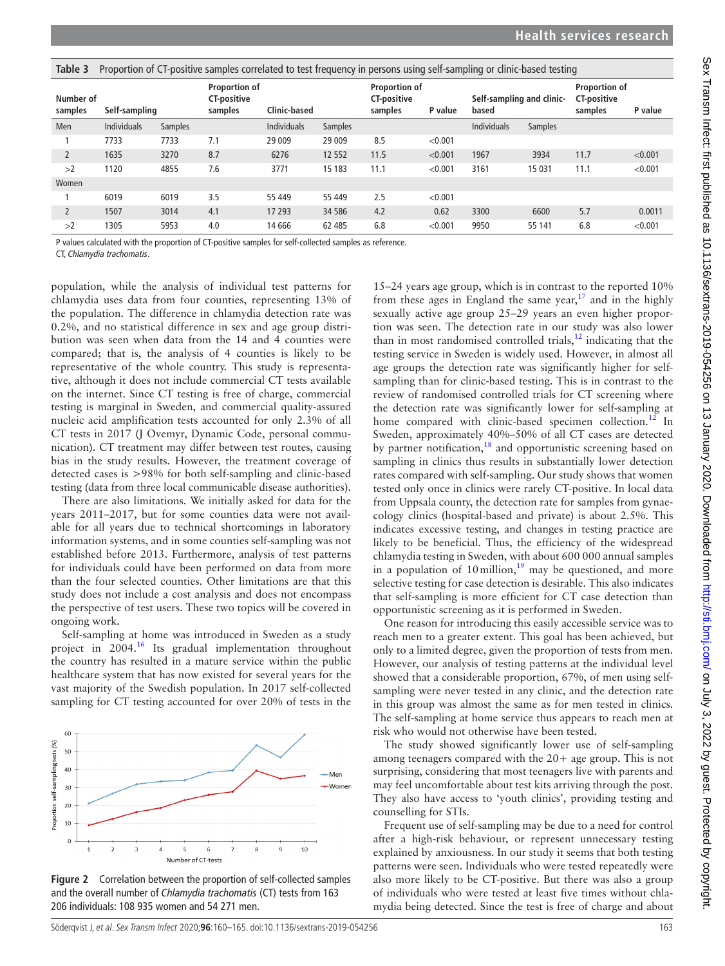<span id="page-3-0"></span>

| Table 3                               | Proportion of CT-positive samples correlated to test frequency in persons using self-sampling or clinic-based testing |                                                       |                     |                    |                                                                  |      |                                    |                    |                                                       |         |         |
|---------------------------------------|-----------------------------------------------------------------------------------------------------------------------|-------------------------------------------------------|---------------------|--------------------|------------------------------------------------------------------|------|------------------------------------|--------------------|-------------------------------------------------------|---------|---------|
| Number of<br>Self-sampling<br>samples |                                                                                                                       | <b>Proportion of</b><br><b>CT-positive</b><br>samples | <b>Clinic-based</b> |                    | <b>Proportion of</b><br><b>CT-positive</b><br>samples<br>P value |      | Self-sampling and clinic-<br>based |                    | <b>Proportion of</b><br><b>CT-positive</b><br>samples | P value |         |
| <b>Men</b>                            | <b>Individuals</b>                                                                                                    | <b>Samples</b>                                        |                     | <b>Individuals</b> | <b>Samples</b>                                                   |      |                                    | <b>Individuals</b> | <b>Samples</b>                                        |         |         |
|                                       | 7733                                                                                                                  | 7733                                                  | 7.1                 | 29 009             | 29 009                                                           | 8.5  | < 0.001                            |                    |                                                       |         |         |
| $\overline{2}$                        | 1635                                                                                                                  | 3270                                                  | 8.7                 | 6276               | 12 5 52                                                          | 11.5 | < 0.001                            | 1967               | 3934                                                  | 11.7    | < 0.001 |
| >2                                    | 1120                                                                                                                  | 4855                                                  | 7.6                 | 3771               | 15 183                                                           | 11.1 | < 0.001                            | 3161               | 15 0 31                                               | 11.1    | < 0.001 |
| Women                                 |                                                                                                                       |                                                       |                     |                    |                                                                  |      |                                    |                    |                                                       |         |         |
|                                       | 6019                                                                                                                  | 6019                                                  | 3.5                 | 55 449             | 55 449                                                           | 2.5  | < 0.001                            |                    |                                                       |         |         |
|                                       | 1507                                                                                                                  | 3014                                                  | 4.1                 | 17 293             | 34 586                                                           | 4.2  | 0.62                               | 3300               | 6600                                                  | 5.7     | 0.0011  |
| >2                                    | 1305                                                                                                                  | 5953                                                  | 4.0                 | 14 6 66            | 62 485                                                           | 6.8  | < 0.001                            | 9950               | 55 141                                                | 6.8     | < 0.001 |

P values calculated with the proportion of CT-positive samples for self-collected samples as reference.

CT, *Chlamydia trachomatis*.

population, while the analysis of individual test patterns for chlamydia uses data from four counties, representing 13% of the population. The difference in chlamydia detection rate was 0.2%, and no statistical difference in sex and age group distribution was seen when data from the 14 and 4 counties were compared; that is, the analysis of 4 counties is likely to be representative of the whole country. This study is representative, although it does not include commercial CT tests available on the internet. Since CT testing is free of charge, commercial testing is marginal in Sweden, and commercial quality-assured nucleic acid amplification tests accounted for only 2.3% of all CT tests in 2017 (J Ovemyr, Dynamic Code, personal communication). CT treatment may differ between test routes, causing bias in the study results. However, the treatment coverage of detected cases is >98% for both self-sampling and clinic-based testing (data from three local communicable disease authorities).

There are also limitations. We initially asked for data for the years 2011–2017, but for some counties data were not available for all years due to technical shortcomings in laboratory information systems, and in some counties self-sampling was not established before 2013. Furthermore, analysis of test patterns for individuals could have been performed on data from more than the four selected counties. Other limitations are that this study does not include a cost analysis and does not encompass the perspective of test users. These two topics will be covered in ongoing work.

Self-sampling at home was introduced in Sweden as a study project in 2004.<sup>16</sup> Its gradual implementation throughout the country has resulted in a mature service within the public healthcare system that has now existed for several years for the vast majority of the Swedish population. In 2017 self-collected sampling for CT testing accounted for over 20% of tests in the



<span id="page-3-1"></span>**Figure 2** Correlation between the proportion of self-collected samples and the overall number of *Chlamydia trachomatis* (CT) tests from 163 206 individuals: 108 935 women and 54 271 men.

15–24 years age group, which is in contrast to the reported 10% from these ages in England the same year, $17$  and in the highly sexually active age group 25–29 years an even higher proportion was seen. The detection rate in our study was also lower than in most randomised controlled trials, $12$  indicating that the testing service in Sweden is widely used. However, in almost all age groups the detection rate was significantly higher for selfsampling than for clinic-based testing. This is in contrast to the review of randomised controlled trials for CT screening where the detection rate was significantly lower for self-sampling at home compared with clinic-based specimen collection.<sup>12</sup> In Sweden, approximately 40%–50% of all CT cases are detected by partner notification,<sup>[18](#page-4-11)</sup> and opportunistic screening based on sampling in clinics thus results in substantially lower detection rates compared with self-sampling. Our study shows that women tested only once in clinics were rarely CT-positive. In local data from Uppsala county, the detection rate for samples from gynaecology clinics (hospital-based and private) is about 2.5%. This indicates excessive testing, and changes in testing practice are likely to be beneficial. Thus, the efficiency of the widespread chlamydia testing in Sweden, with about 600 000 annual samples in a population of 10 million,<sup>19</sup> may be questioned, and more selective testing for case detection is desirable. This also indicates that self-sampling is more efficient for CT case detection than opportunistic screening as it is performed in Sweden.

One reason for introducing this easily accessible service was to reach men to a greater extent. This goal has been achieved, but only to a limited degree, given the proportion of tests from men. However, our analysis of testing patterns at the individual level showed that a considerable proportion, 67%, of men using selfsampling were never tested in any clinic, and the detection rate in this group was almost the same as for men tested in clinics. The self-sampling at home service thus appears to reach men at risk who would not otherwise have been tested.

The study showed significantly lower use of self-sampling among teenagers compared with the 20+ age group. This is not surprising, considering that most teenagers live with parents and may feel uncomfortable about test kits arriving through the post. They also have access to 'youth clinics', providing testing and counselling for STIs.

Frequent use of self-sampling may be due to a need for control after a high-risk behaviour, or represent unnecessary testing explained by anxiousness. In our study it seems that both testing patterns were seen. Individuals who were tested repeatedly were also more likely to be CT-positive. But there was also a group of individuals who were tested at least five times without chlamydia being detected. Since the test is free of charge and about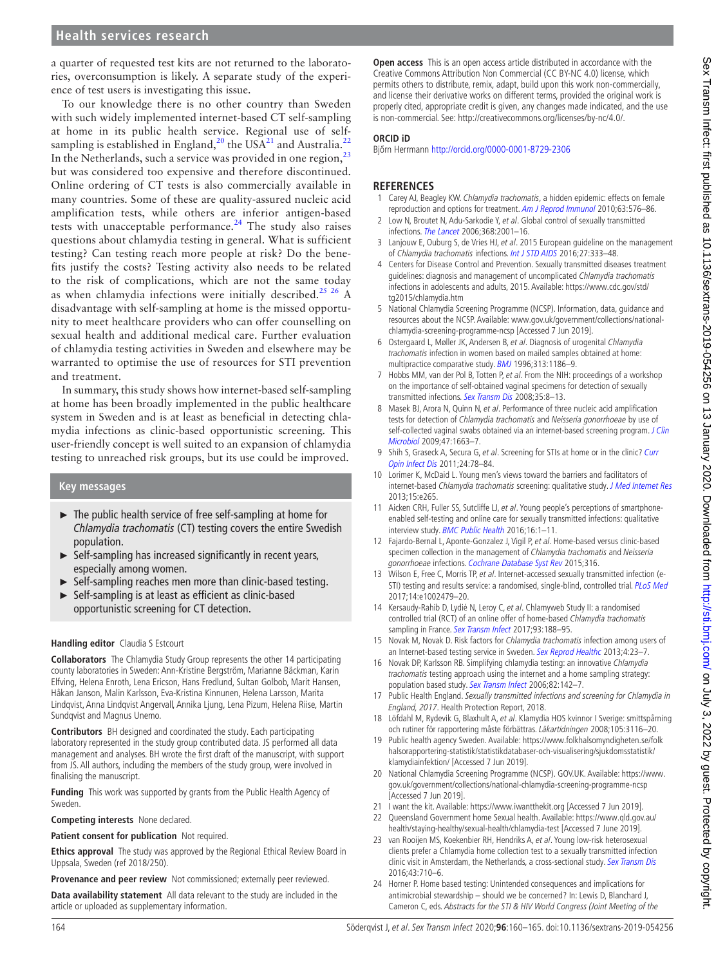## **Health services research**

a quarter of requested test kits are not returned to the laboratories, overconsumption is likely. A separate study of the experience of test users is investigating this issue.

To our knowledge there is no other country than Sweden with such widely implemented internet-based CT self-sampling at home in its public health service. Regional use of self-sampling is established in England,<sup>20</sup> the USA<sup>[21](#page-4-14)</sup> and Australia.<sup>2</sup> In the Netherlands, such a service was provided in one region,<sup>[23](#page-4-16)</sup> but was considered too expensive and therefore discontinued. Online ordering of CT tests is also commercially available in many countries. Some of these are quality-assured nucleic acid amplification tests, while others are inferior antigen-based tests with unacceptable performance.<sup>[24](#page-4-17)</sup> The study also raises questions about chlamydia testing in general. What is sufficient testing? Can testing reach more people at risk? Do the benefits justify the costs? Testing activity also needs to be related to the risk of complications, which are not the same today as when chlamydia infections were initially described.<sup>25 26</sup> A disadvantage with self-sampling at home is the missed opportunity to meet healthcare providers who can offer counselling on sexual health and additional medical care. Further evaluation of chlamydia testing activities in Sweden and elsewhere may be warranted to optimise the use of resources for STI prevention and treatment.

In summary, this study shows how internet-based self-sampling at home has been broadly implemented in the public healthcare system in Sweden and is at least as beneficial in detecting chlamydia infections as clinic-based opportunistic screening. This user-friendly concept is well suited to an expansion of chlamydia testing to unreached risk groups, but its use could be improved.

#### **Key messages**

- $\blacktriangleright$  The public health service of free self-sampling at home for *Chlamydia trachomatis* (CT) testing covers the entire Swedish population.
- ► Self-sampling has increased significantly in recent years, especially among women.
- ► Self-sampling reaches men more than clinic-based testing.
- ► Self-sampling is at least as efficient as clinic-based opportunistic screening for CT detection.

#### **Handling editor** Claudia S Estcourt

**Collaborators** The Chlamydia Study Group represents the other 14 participating county laboratories in Sweden: Ann-Kristine Bergström, Marianne Bäckman, Karin Elfving, Helena Enroth, Lena Ericson, Hans Fredlund, Sultan Golbob, Marit Hansen, Håkan Janson, Malin Karlsson, Eva-Kristina Kinnunen, Helena Larsson, Marita Lindqvist, Anna Lindqvist Angervall, Annika Ljung, Lena Pizum, Helena Riise, Martin Sundqvist and Magnus Unemo.

**Contributors** BH designed and coordinated the study. Each participating laboratory represented in the study group contributed data. JS performed all data management and analyses. BH wrote the first draft of the manuscript, with support from JS. All authors, including the members of the study group, were involved in finalising the manuscript.

**Funding** This work was supported by grants from the Public Health Agency of Sweden.

**Competing interests** None declared.

#### **Patient consent for publication** Not required.

**Ethics approval** The study was approved by the Regional Ethical Review Board in Uppsala, Sweden (ref 2018/250).

**Provenance and peer review** Not commissioned; externally peer reviewed.

**Data availability statement** All data relevant to the study are included in the article or uploaded as supplementary information.

**Open access** This is an open access article distributed in accordance with the Creative Commons Attribution Non Commercial (CC BY-NC 4.0) license, which permits others to distribute, remix, adapt, build upon this work non-commercially, and license their derivative works on different terms, provided the original work is properly cited, appropriate credit is given, any changes made indicated, and the use is non-commercial. See: [http://creativecommons.org/licenses/by-nc/4.0/.](http://creativecommons.org/licenses/by-nc/4.0/)

#### **ORCID iD**

Bjőrn Herrmann <http://orcid.org/0000-0001-8729-2306>

#### **References**

- <span id="page-4-0"></span>1 Carey AJ, Beagley KW. Chlamydia trachomatis, a hidden epidemic: effects on female reproduction and options for treatment. [Am J Reprod Immunol](http://dx.doi.org/10.1111/j.1600-0897.2010.00819.x) 2010;63:576–86.
- <span id="page-4-1"></span>2 Low N, Broutet N, Adu-Sarkodie Y, et al. Global control of sexually transmitted infections. [The Lancet](http://dx.doi.org/10.1016/S0140-6736(06)69482-8) 2006;368:2001–16.
- <span id="page-4-2"></span>3 Lanjouw E, Ouburg S, de Vries HJ, et al. 2015 European guideline on the management of Chlamydia trachomatis infections. [Int J STD AIDS](http://dx.doi.org/10.1177/0956462415618837) 2016;27:333–48.
- 4 Centers for Disease Control and Prevention. Sexually transmitted diseases treatment guidelines: diagnosis and management of uncomplicated Chlamydia trachomatis infections in adolescents and adults, 2015. Available: [https://www.cdc.gov/std/](https://www.cdc.gov/std/tg2015/chlamydia.htm) [tg2015/chlamydia.htm](https://www.cdc.gov/std/tg2015/chlamydia.htm)
- <span id="page-4-3"></span>5 National Chlamydia Screening Programme (NCSP). Information, data, guidance and resources about the NCSP. Available: [www.gov.uk/government/collections/national](www.gov.uk/government/collections/national-chlamydia-screening-programme-ncsp)[chlamydia-screening-programme-ncsp](www.gov.uk/government/collections/national-chlamydia-screening-programme-ncsp) [Accessed 7 Jun 2019].
- <span id="page-4-4"></span>6 Ostergaard L, Møller JK, Andersen B, et al. Diagnosis of urogenital Chlamydia trachomatis infection in women based on mailed samples obtained at home: multipractice comparative study. [BMJ](http://dx.doi.org/10.1136/bmj.313.7066.1186) 1996;313:1186–9.
- <span id="page-4-5"></span>7 Hobbs MM, van der Pol B, Totten P, et al. From the NIH: proceedings of a workshop on the importance of self-obtained vaginal specimens for detection of sexually transmitted infections. [Sex Transm Dis](http://dx.doi.org/10.1097/OLQ.0b013e31815d968d) 2008;35:8–13.
- 8 Masek BJ, Arora N, Quinn N, et al. Performance of three nucleic acid amplification tests for detection of Chlamydia trachomatis and Neisseria gonorrhoeae by use of self-collected vaginal swabs obtained via an internet-based screening program. J Clin [Microbiol](http://dx.doi.org/10.1128/JCM.02387-08) 2009;47:1663–7.
- 9 Shih S, Graseck A, Secura G, et al. Screening for STIs at home or in the clinic? Curr [Opin Infect Dis](http://dx.doi.org/10.1097/QCO.0b013e32834204a8) 2011;24:78–84.
- <span id="page-4-6"></span>10 Lorimer K, McDaid L. Young men's views toward the barriers and facilitators of internet-based Chlamydia trachomatis screening: qualitative study. [J Med Internet Res](http://dx.doi.org/10.2196/jmir.2628) 2013;15:e265.
- 11 Aicken CRH, Fuller SS, Sutcliffe LJ, et al. Young people's perceptions of smartphoneenabled self-testing and online care for sexually transmitted infections: qualitative interview study. [BMC Public Health](http://dx.doi.org/10.1186/s12889-016-3648-y) 2016;16:1–11.
- <span id="page-4-7"></span>12 Fajardo-Bernal L, Aponte-Gonzalez J, Vigil P, et al. Home-based versus clinic-based specimen collection in the management of Chlamydia trachomatis and Neisseria gonorrhoeae infections. [Cochrane Database Syst Rev](http://dx.doi.org/10.1002/14651858.CD011317.pub2) 2015;316.
- 13 Wilson E, Free C, Morris TP, et al. Internet-accessed sexually transmitted infection (e-STI) testing and results service: a randomised, single-blind, controlled trial. [PLoS Med](http://dx.doi.org/10.1371/journal.pmed.1002479) 2017;14:e1002479–20.
- 14 Kersaudy-Rahib D, Lydié N, Leroy C, et al. Chlamyweb Study II: a randomised controlled trial (RCT) of an online offer of home-based Chlamydia trachomatis sampling in France. [Sex Transm Infect](http://dx.doi.org/10.1136/sextrans-2015-052510) 2017;93:188-95.
- <span id="page-4-8"></span>15 Novak M, Novak D. Risk factors for Chlamydia trachomatis infection among users of an Internet-based testing service in Sweden. [Sex Reprod Healthc](http://dx.doi.org/10.1016/j.srhc.2012.11.004) 2013;4:23-7.
- <span id="page-4-9"></span>16 Novak DP, Karlsson RB. Simplifying chlamydia testing: an innovative Chlamydia trachomatis testing approach using the internet and a home sampling strategy: population based study. [Sex Transm Infect](http://dx.doi.org/10.1136/sti.2005.016832) 2006;82:142–7.
- <span id="page-4-10"></span>17 Public Health England. Sexually transmitted infections and screening for Chlamydia in England, 2017. Health Protection Report, 2018.
- <span id="page-4-11"></span>18 Löfdahl M, Rydevik G, Blaxhult A, et al. Klamydia HOS kvinnor I Sverige: smittspårning och rutiner för rapportering måste förbättras. Läkartidningen 2008;105:3116–20.
- <span id="page-4-12"></span>19 Public health agency Sweden. Available: [https://www.folkhalsomyndigheten.se/folk](https://www.folkhalsomyndigheten.se/folkhalsorapportering-statistik/statistikdatabaser-och-visualisering/sjukdomsstatistik/klamydiainfektion/) [halsorapportering-statistik/statistikdatabaser-och-visualisering/sjukdomsstatistik/](https://www.folkhalsomyndigheten.se/folkhalsorapportering-statistik/statistikdatabaser-och-visualisering/sjukdomsstatistik/klamydiainfektion/) [klamydiainfektion/](https://www.folkhalsomyndigheten.se/folkhalsorapportering-statistik/statistikdatabaser-och-visualisering/sjukdomsstatistik/klamydiainfektion/) [Accessed 7 Jun 2019].
- <span id="page-4-13"></span>20 National Chlamydia Screening Programme (NCSP). GOV.UK. Available: [https://www.](https://www.gov.uk/government/collections/national-chlamydia-screening-programme-ncsp) [gov.uk/government/collections/national-chlamydia-screening-programme-ncsp](https://www.gov.uk/government/collections/national-chlamydia-screening-programme-ncsp) [Accessed 7 Jun 2019].
- <span id="page-4-14"></span>21 I want the kit. Available: <https://www.iwantthekit.org> [Accessed 7 Jun 2019].
- <span id="page-4-15"></span>22 Queensland Government home Sexual health. Available: [https://www.qld.gov.au/](https://www.qld.gov.au/health/staying-healthy/sexual-health/chlamydia-test) [health/staying-healthy/sexual-health/chlamydia-test](https://www.qld.gov.au/health/staying-healthy/sexual-health/chlamydia-test) [Accessed 7 June 2019].
- <span id="page-4-16"></span>23 van Rooijen MS, Koekenbier RH, Hendriks A, et al. Young low-risk heterosexual clients prefer a Chlamydia home collection test to a sexually transmitted infection clinic visit in Amsterdam, the Netherlands, a cross-sectional study. [Sex Transm Dis](http://dx.doi.org/10.1097/OLQ.0000000000000517) 2016;43:710–6.
- <span id="page-4-17"></span>24 Horner P. Home based testing: Unintended consequences and implications for antimicrobial stewardship – should we be concerned? In: Lewis D, Blanchard J, Cameron C, eds. Abstracts for the STI & HIV World Congress (Joint Meeting of the